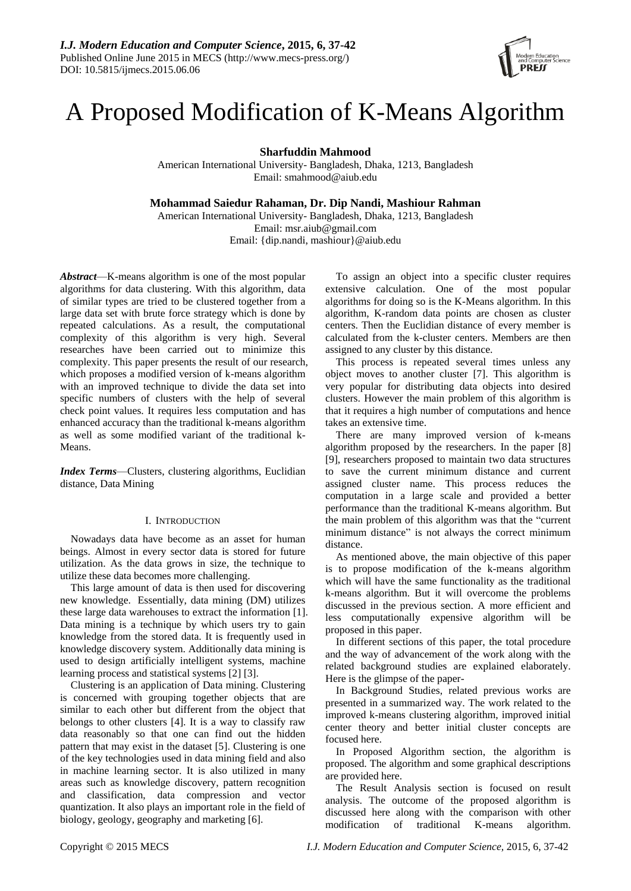

# A Proposed Modification of K-Means Algorithm

**Sharfuddin Mahmood**

American International University- Bangladesh, Dhaka, 1213, Bangladesh Email: smahmood@aiub.edu

**Mohammad Saiedur Rahaman, Dr. Dip Nandi, Mashiour Rahman**

American International University- Bangladesh, Dhaka, 1213, Bangladesh Email: [msr.aiub@gmail.com](mailto:msr.aiub@gmail.com) Email: {dip.nandi, [mashiour}@aiub.edu](mailto:dip.nandi@aiub.edu)

*Abstract*—K-means algorithm is one of the most popular algorithms for data clustering. With this algorithm, data of similar types are tried to be clustered together from a large data set with brute force strategy which is done by repeated calculations. As a result, the computational complexity of this algorithm is very high. Several researches have been carried out to minimize this complexity. This paper presents the result of our research, which proposes a modified version of k-means algorithm with an improved technique to divide the data set into specific numbers of clusters with the help of several check point values. It requires less computation and has enhanced accuracy than the traditional k-means algorithm as well as some modified variant of the traditional k-Means.

*Index Terms*—Clusters, clustering algorithms, Euclidian distance, Data Mining

## I. INTRODUCTION

Nowadays data have become as an asset for human beings. Almost in every sector data is stored for future utilization. As the data grows in size, the technique to utilize these data becomes more challenging.

This large amount of data is then used for discovering new knowledge. Essentially, data mining (DM) utilizes these large data warehouses to extract the information [1]. Data mining is a technique by which users try to gain knowledge from the stored data. It is frequently used in knowledge discovery system. Additionally data mining is used to design artificially intelligent systems, machine learning process and statistical systems [2] [3].

Clustering is an application of Data mining. Clustering is concerned with grouping together objects that are similar to each other but different from the object that belongs to other clusters [4]. It is a way to classify raw data reasonably so that one can find out the hidden pattern that may exist in the dataset [5]. Clustering is one of the key technologies used in data mining field and also in machine learning sector. It is also utilized in many areas such as knowledge discovery, pattern recognition and classification, data compression and vector quantization. It also plays an important role in the field of biology, geology, geography and marketing [6].

To assign an object into a specific cluster requires extensive calculation. One of the most popular algorithms for doing so is the K-Means algorithm. In this algorithm, K-random data points are chosen as cluster centers. Then the Euclidian distance of every member is calculated from the k-cluster centers. Members are then assigned to any cluster by this distance.

This process is repeated several times unless any object moves to another cluster [7]. This algorithm is very popular for distributing data objects into desired clusters. However the main problem of this algorithm is that it requires a high number of computations and hence takes an extensive time.

There are many improved version of k-means algorithm proposed by the researchers. In the paper [8] [9], researchers proposed to maintain two data structures to save the current minimum distance and current assigned cluster name. This process reduces the computation in a large scale and provided a better performance than the traditional K-means algorithm. But the main problem of this algorithm was that the "current minimum distance" is not always the correct minimum distance.

As mentioned above, the main objective of this paper is to propose modification of the k-means algorithm which will have the same functionality as the traditional k-means algorithm. But it will overcome the problems discussed in the previous section. A more efficient and less computationally expensive algorithm will be proposed in this paper.

In different sections of this paper, the total procedure and the way of advancement of the work along with the related background studies are explained elaborately. Here is the glimpse of the paper-

In Background Studies, related previous works are presented in a summarized way. The work related to the improved k-means clustering algorithm, improved initial center theory and better initial cluster concepts are focused here.

In Proposed Algorithm section, the algorithm is proposed. The algorithm and some graphical descriptions are provided here.

The Result Analysis section is focused on result analysis. The outcome of the proposed algorithm is discussed here along with the comparison with other modification of traditional K-means algorithm.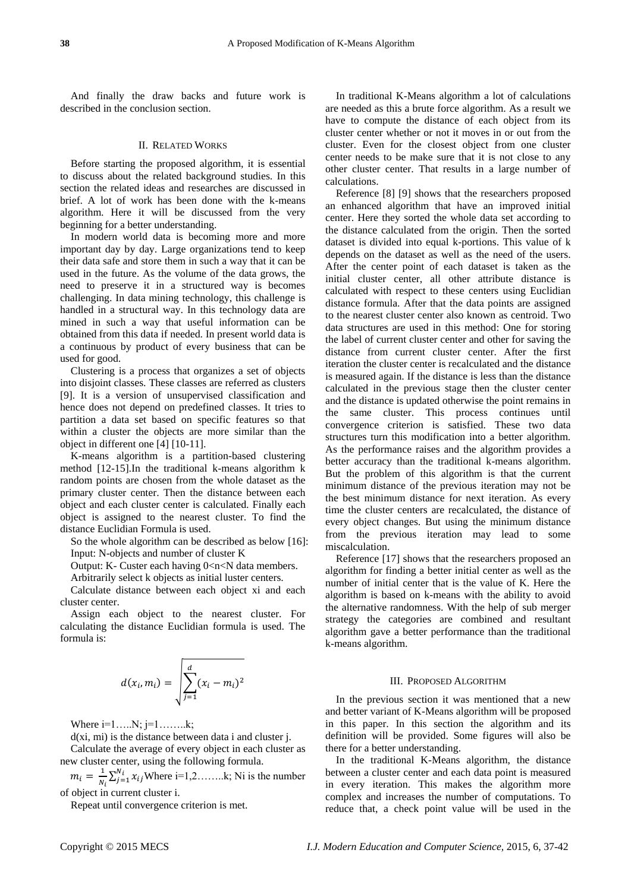And finally the draw backs and future work is described in the conclusion section.

## II. RELATED WORKS

Before starting the proposed algorithm, it is essential to discuss about the related background studies. In this section the related ideas and researches are discussed in brief. A lot of work has been done with the k-means algorithm. Here it will be discussed from the very beginning for a better understanding.

In modern world data is becoming more and more important day by day. Large organizations tend to keep their data safe and store them in such a way that it can be used in the future. As the volume of the data grows, the need to preserve it in a structured way is becomes challenging. In data mining technology, this challenge is handled in a structural way. In this technology data are mined in such a way that useful information can be obtained from this data if needed. In present world data is a continuous by product of every business that can be used for good.

Clustering is a process that organizes a set of objects into disjoint classes. These classes are referred as clusters [9]. It is a version of unsupervised classification and hence does not depend on predefined classes. It tries to partition a data set based on specific features so that within a cluster the objects are more similar than the object in different one [4] [10-11].

K-means algorithm is a partition-based clustering method [12-15].In the traditional k-means algorithm k random points are chosen from the whole dataset as the primary cluster center. Then the distance between each object and each cluster center is calculated. Finally each object is assigned to the nearest cluster. To find the distance Euclidian Formula is used.

So the whole algorithm can be described as below [16]: Input: N-objects and number of cluster K

Output: K- Custer each having  $0 < n < N$  data members.

Arbitrarily select k objects as initial luster centers.

Calculate distance between each object xi and each cluster center.

Assign each object to the nearest cluster. For calculating the distance Euclidian formula is used. The formula is:

$$
d(x_i, m_i) = \sqrt{\sum_{j=1}^{d} (x_i - m_i)^2}
$$

Where  $i=1$ ....... $N; j=1$ ......... $k;$ 

d(xi, mi) is the distance between data i and cluster j. Calculate the average of every object in each cluster as

new cluster center, using the following formula.

 $m_i = \frac{1}{N}$  $\frac{1}{N_i} \sum_{j=1}^{N_i} x_{ij}$  Where i=1,2.......k; Ni is the number of object in current cluster i.

Repeat until convergence criterion is met.

In traditional K-Means algorithm a lot of calculations are needed as this a brute force algorithm. As a result we have to compute the distance of each object from its cluster center whether or not it moves in or out from the cluster. Even for the closest object from one cluster center needs to be make sure that it is not close to any other cluster center. That results in a large number of calculations.

Reference [8] [9] shows that the researchers proposed an enhanced algorithm that have an improved initial center. Here they sorted the whole data set according to the distance calculated from the origin. Then the sorted dataset is divided into equal k-portions. This value of k depends on the dataset as well as the need of the users. After the center point of each dataset is taken as the initial cluster center, all other attribute distance is calculated with respect to these centers using Euclidian distance formula. After that the data points are assigned to the nearest cluster center also known as centroid. Two data structures are used in this method: One for storing the label of current cluster center and other for saving the distance from current cluster center. After the first iteration the cluster center is recalculated and the distance is measured again. If the distance is less than the distance calculated in the previous stage then the cluster center and the distance is updated otherwise the point remains in the same cluster. This process continues until convergence criterion is satisfied. These two data structures turn this modification into a better algorithm. As the performance raises and the algorithm provides a better accuracy than the traditional k-means algorithm. But the problem of this algorithm is that the current minimum distance of the previous iteration may not be the best minimum distance for next iteration. As every time the cluster centers are recalculated, the distance of every object changes. But using the minimum distance from the previous iteration may lead to some miscalculation.

Reference [17] shows that the researchers proposed an algorithm for finding a better initial center as well as the number of initial center that is the value of K. Here the algorithm is based on k-means with the ability to avoid the alternative randomness. With the help of sub merger strategy the categories are combined and resultant algorithm gave a better performance than the traditional k-means algorithm.

### III. PROPOSED ALGORITHM

In the previous section it was mentioned that a new and better variant of K-Means algorithm will be proposed in this paper. In this section the algorithm and its definition will be provided. Some figures will also be there for a better understanding.

In the traditional K-Means algorithm, the distance between a cluster center and each data point is measured in every iteration. This makes the algorithm more complex and increases the number of computations. To reduce that, a check point value will be used in the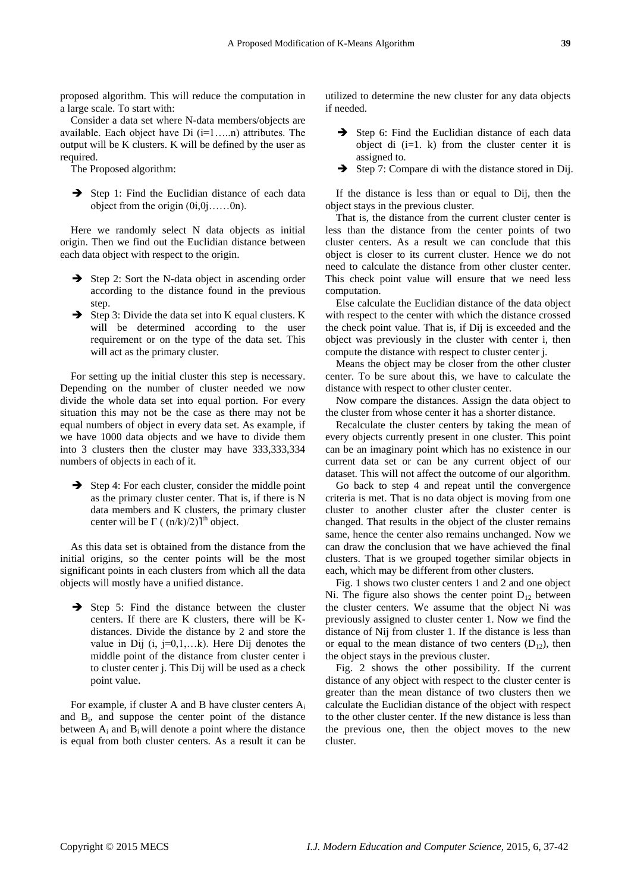proposed algorithm. This will reduce the computation in a large scale. To start with:

Consider a data set where N-data members/objects are available. Each object have Di (i=1…..n) attributes. The output will be K clusters. K will be defined by the user as required.

The Proposed algorithm:

 $\rightarrow$  Step 1: Find the Euclidian distance of each data object from the origin (0i,0j……0n).

Here we randomly select N data objects as initial origin. Then we find out the Euclidian distance between each data object with respect to the origin.

- $\rightarrow$  Step 2: Sort the N-data object in ascending order according to the distance found in the previous step.
- $\rightarrow$  Step 3: Divide the data set into K equal clusters. K will be determined according to the user requirement or on the type of the data set. This will act as the primary cluster.

For setting up the initial cluster this step is necessary. Depending on the number of cluster needed we now divide the whole data set into equal portion. For every situation this may not be the case as there may not be equal numbers of object in every data set. As example, if we have 1000 data objects and we have to divide them into 3 clusters then the cluster may have 333,333,334 numbers of objects in each of it.

 $\rightarrow$  Step 4: For each cluster, consider the middle point as the primary cluster center. That is, if there is N data members and K clusters, the primary cluster center will be  $\Gamma$  (  $(n/k)/2$ )<sup>th</sup> object.

As this data set is obtained from the distance from the initial origins, so the center points will be the most significant points in each clusters from which all the data objects will mostly have a unified distance.

 $\rightarrow$  Step 5: Find the distance between the cluster centers. If there are K clusters, there will be Kdistances. Divide the distance by 2 and store the value in Dij  $(i, j=0,1,...k)$ . Here Dij denotes the middle point of the distance from cluster center i to cluster center j. This Dij will be used as a check point value.

For example, if cluster A and B have cluster centers  $A_i$ and B<sup>i</sup> , and suppose the center point of the distance between  $A_i$  and  $B_i$  will denote a point where the distance is equal from both cluster centers. As a result it can be utilized to determine the new cluster for any data objects if needed.

- Step 6: Find the Euclidian distance of each data object di  $(i=1, k)$  from the cluster center it is assigned to.
- $\rightarrow$  Step 7: Compare di with the distance stored in Dij.

If the distance is less than or equal to Dij, then the object stays in the previous cluster.

That is, the distance from the current cluster center is less than the distance from the center points of two cluster centers. As a result we can conclude that this object is closer to its current cluster. Hence we do not need to calculate the distance from other cluster center. This check point value will ensure that we need less computation.

Else calculate the Euclidian distance of the data object with respect to the center with which the distance crossed the check point value. That is, if Dij is exceeded and the object was previously in the cluster with center i, then compute the distance with respect to cluster center j.

Means the object may be closer from the other cluster center. To be sure about this, we have to calculate the distance with respect to other cluster center.

Now compare the distances. Assign the data object to the cluster from whose center it has a shorter distance.

Recalculate the cluster centers by taking the mean of every objects currently present in one cluster. This point can be an imaginary point which has no existence in our current data set or can be any current object of our dataset. This will not affect the outcome of our algorithm.

Go back to step 4 and repeat until the convergence criteria is met. That is no data object is moving from one cluster to another cluster after the cluster center is changed. That results in the object of the cluster remains same, hence the center also remains unchanged. Now we can draw the conclusion that we have achieved the final clusters. That is we grouped together similar objects in each, which may be different from other clusters.

Fig. 1 shows two cluster centers 1 and 2 and one object Ni. The figure also shows the center point  $D_{12}$  between the cluster centers. We assume that the object Ni was previously assigned to cluster center 1. Now we find the distance of Nij from cluster 1. If the distance is less than or equal to the mean distance of two centers  $(D_{12})$ , then the object stays in the previous cluster.

Fig. 2 shows the other possibility. If the current distance of any object with respect to the cluster center is greater than the mean distance of two clusters then we calculate the Euclidian distance of the object with respect to the other cluster center. If the new distance is less than the previous one, then the object moves to the new cluster.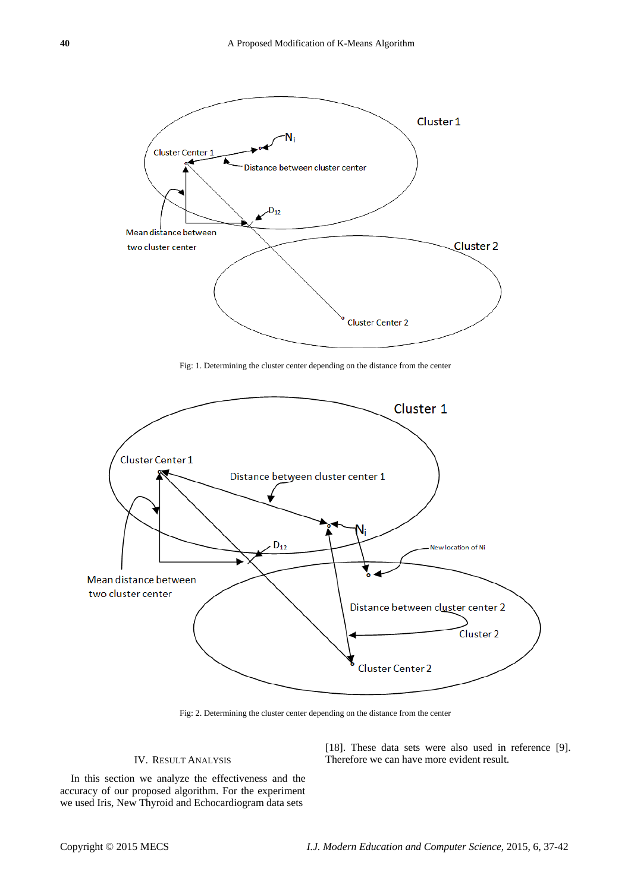

Fig: 1. Determining the cluster center depending on the distance from the center



Fig: 2. Determining the cluster center depending on the distance from the center

# IV. RESULT ANALYSIS

In this section we analyze the effectiveness and the accuracy of our proposed algorithm. For the experiment we used Iris, New Thyroid and Echocardiogram data sets

[18]. These data sets were also used in reference [9]. Therefore we can have more evident result.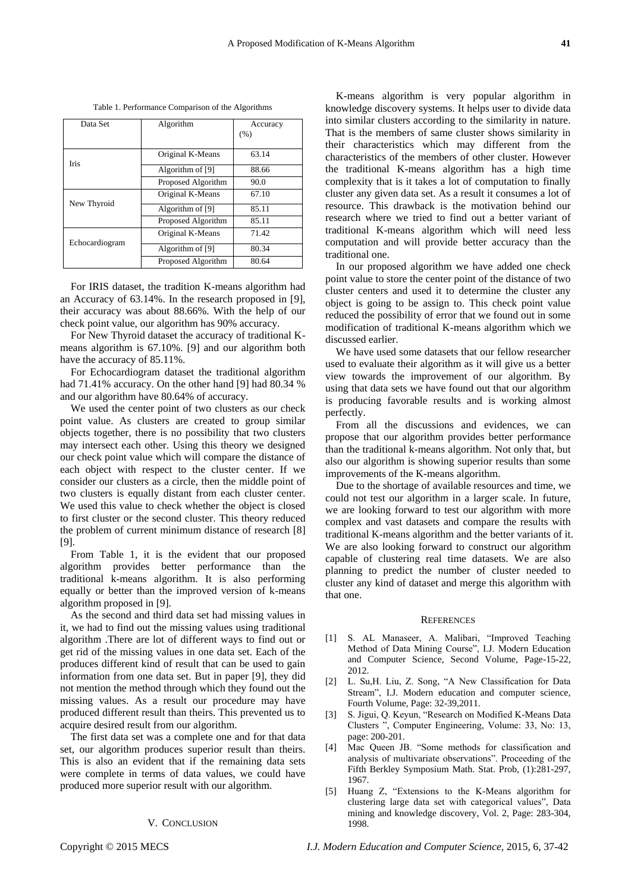| ۰ |
|---|

| Data Set       | Algorithm          | Accuracy |
|----------------|--------------------|----------|
|                |                    | (% )     |
|                |                    |          |
| <b>Iris</b>    | Original K-Means   | 63.14    |
|                | Algorithm of [9]   | 88.66    |
|                | Proposed Algorithm | 90.0     |
|                | Original K-Means   | 67.10    |
| New Thyroid    | Algorithm of [9]   | 85.11    |
|                | Proposed Algorithm | 85.11    |
| Echocardiogram | Original K-Means   | 71.42    |
|                | Algorithm of [9]   | 80.34    |
|                | Proposed Algorithm | 80.64    |

Table 1. Performance Comparison of the Algorithms

For IRIS dataset, the tradition K-means algorithm had an Accuracy of 63.14%. In the research proposed in [9], their accuracy was about 88.66%. With the help of our check point value, our algorithm has 90% accuracy.

For New Thyroid dataset the accuracy of traditional Kmeans algorithm is 67.10%. [9] and our algorithm both have the accuracy of 85.11%.

For Echocardiogram dataset the traditional algorithm had 71.41% accuracy. On the other hand [9] had 80.34 % and our algorithm have 80.64% of accuracy.

We used the center point of two clusters as our check point value. As clusters are created to group similar objects together, there is no possibility that two clusters may intersect each other. Using this theory we designed our check point value which will compare the distance of each object with respect to the cluster center. If we consider our clusters as a circle, then the middle point of two clusters is equally distant from each cluster center. We used this value to check whether the object is closed to first cluster or the second cluster. This theory reduced the problem of current minimum distance of research [8] [9].

From Table 1, it is the evident that our proposed algorithm provides better performance than the traditional k-means algorithm. It is also performing equally or better than the improved version of k-means algorithm proposed in [9].

As the second and third data set had missing values in it, we had to find out the missing values using traditional algorithm .There are lot of different ways to find out or get rid of the missing values in one data set. Each of the produces different kind of result that can be used to gain information from one data set. But in paper [9], they did not mention the method through which they found out the missing values. As a result our procedure may have produced different result than theirs. This prevented us to acquire desired result from our algorithm.

The first data set was a complete one and for that data set, our algorithm produces superior result than theirs. This is also an evident that if the remaining data sets were complete in terms of data values, we could have produced more superior result with our algorithm.

## V. CONCLUSION

K-means algorithm is very popular algorithm in knowledge discovery systems. It helps user to divide data into similar clusters according to the similarity in nature. That is the members of same cluster shows similarity in their characteristics which may different from the characteristics of the members of other cluster. However the traditional K-means algorithm has a high time complexity that is it takes a lot of computation to finally cluster any given data set. As a result it consumes a lot of resource. This drawback is the motivation behind our research where we tried to find out a better variant of traditional K-means algorithm which will need less computation and will provide better accuracy than the traditional one.

In our proposed algorithm we have added one check point value to store the center point of the distance of two cluster centers and used it to determine the cluster any object is going to be assign to. This check point value reduced the possibility of error that we found out in some modification of traditional K-means algorithm which we discussed earlier.

We have used some datasets that our fellow researcher used to evaluate their algorithm as it will give us a better view towards the improvement of our algorithm. By using that data sets we have found out that our algorithm is producing favorable results and is working almost perfectly.

From all the discussions and evidences, we can propose that our algorithm provides better performance than the traditional k-means algorithm. Not only that, but also our algorithm is showing superior results than some improvements of the K-means algorithm.

Due to the shortage of available resources and time, we could not test our algorithm in a larger scale. In future, we are looking forward to test our algorithm with more complex and vast datasets and compare the results with traditional K-means algorithm and the better variants of it. We are also looking forward to construct our algorithm capable of clustering real time datasets. We are also planning to predict the number of cluster needed to cluster any kind of dataset and merge this algorithm with that one.

#### **REFERENCES**

- [1] S. AL Manaseer, A. Malibari, "Improved Teaching Method of Data Mining Course", I.J. Modern Education and Computer Science, Second Volume, Page-15-22, 2012.
- [2] L. Su,H. Liu, Z. Song, "A New Classification for Data Stream", I.J. Modern education and computer science, Fourth Volume, Page: 32-39,2011.
- [3] S. Jigui, Q. Keyun, "Research on Modified K-Means Data Clusters ", Computer Engineering, Volume: 33, No: 13, page: 200-201.
- [4] Mac Queen JB. "Some methods for classification and analysis of multivariate observations". Proceeding of the Fifth Berkley Symposium Math. Stat. Prob, (1):281-297, 1967.
- [5] Huang Z, "Extensions to the K-Means algorithm for clustering large data set with categorical values", Data mining and knowledge discovery, Vol. 2, Page: 283-304, 1998.